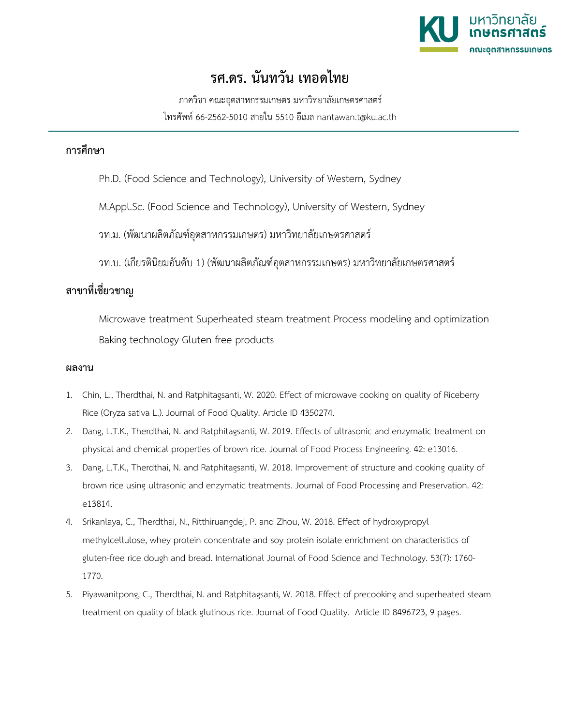

## **รศ.ดร. นันทวัน เทอดไทย**

ภาควิชา คณะอุตสาหกรรมเกษตร มหาวิทยาลัยเกษตรศาสตร โทรศัพท 66-2562-5010 สายใน 5510 อีเมล nantawan.t@ku.ac.th

## **การศึกษา**

Ph.D. (Food Science and Technology), University of Western, Sydney

M.Appl.Sc. (Food Science and Technology), University of Western, Sydney

วท.ม. (พัฒนาผลิตภัณฑอุตสาหกรรมเกษตร) มหาวิทยาลัยเกษตรศาสตร

วท.บ. (เกียรตินิยมอันดับ 1) (พัฒนาผลิตภัณฑ์อตสาหกรรมเกษตร) มหาวิทยาลัยเกษตรศาสตร์

## **สาขาที่เชี่ยวชาญ**

Microwave treatment Superheated steam treatment Process modeling and optimization Baking technology Gluten free products

## **ผลงาน**

- 1. Chin, L., Therdthai, N. and Ratphitagsanti, W. 2020. Effect of microwave cooking on quality of Riceberry Rice (Oryza sativa L.). Journal of Food Quality. Article ID 4350274.
- 2. Dang, L.T.K., Therdthai, N. and Ratphitagsanti, W. 2019. Effects of ultrasonic and enzymatic treatment on physical and chemical properties of brown rice. Journal of Food Process Engineering. 42: e13016.
- 3. Dang, L.T.K., Therdthai, N. and Ratphitagsanti, W. 2018. Improvement of structure and cooking quality of brown rice using ultrasonic and enzymatic treatments. Journal of Food Processing and Preservation. 42: e13814.
- 4. Srikanlaya, C., Therdthai, N., Ritthiruangdej, P. and Zhou, W. 2018. Effect of hydroxypropyl methylcellulose, whey protein concentrate and soy protein isolate enrichment on characteristics of gluten-free rice dough and bread. International Journal of Food Science and Technology. 53(7): 1760- 1770.
- 5. Piyawanitpong, C., Therdthai, N. and Ratphitagsanti, W. 2018. Effect of precooking and superheated steam treatment on quality of black glutinous rice. Journal of Food Quality. Article ID 8496723, 9 pages.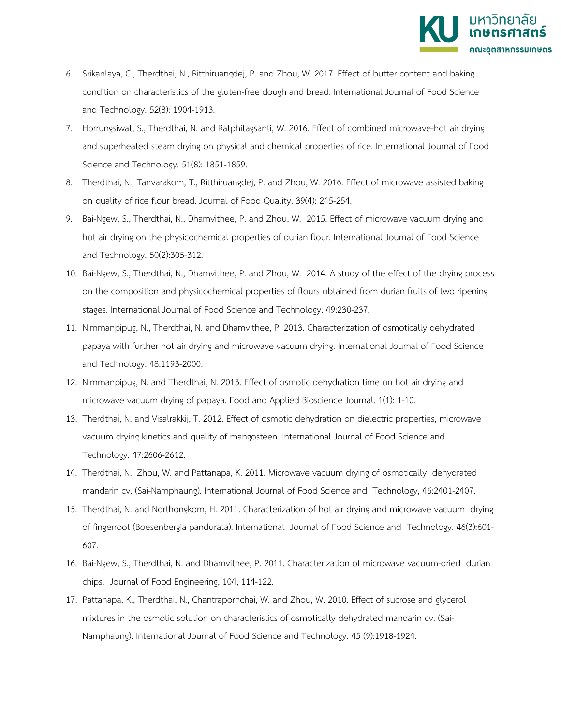

- 6. Srikanlaya, C., Therdthai, N., Ritthiruangdej, P. and Zhou, W. 2017. Effect of butter content and baking condition on characteristics of the gluten-free dough and bread. International Journal of Food Science and Technology. 52(8): 1904-1913.
- 7. Horrungsiwat, S., Therdthai, N. and Ratphitagsanti, W. 2016. Effect of combined microwave-hot air drying and superheated steam drying on physical and chemical properties of rice. International Journal of Food Science and Technology. 51(8): 1851-1859.
- 8. Therdthai, N., Tanvarakom, T., Ritthiruangdej, P. and Zhou, W. 2016. Effect of microwave assisted baking on quality of rice flour bread. Journal of Food Quality. 39(4): 245-254.
- 9. Bai-Ngew, S., Therdthai, N., Dhamvithee, P. and Zhou, W. 2015. Effect of microwave vacuum drying and hot air drying on the physicochemical properties of durian flour. International Journal of Food Science and Technology. 50(2):305-312.
- 10. Bai-Ngew, S., Therdthai, N., Dhamvithee, P. and Zhou, W. 2014. A study of the effect of the drying process on the composition and physicochemical properties of flours obtained from durian fruits of two ripening stages. International Journal of Food Science and Technology. 49:230-237.
- 11. Nimmanpipug, N., Therdthai, N. and Dhamvithee, P. 2013. Characterization of osmotically dehydrated papaya with further hot air drying and microwave vacuum drying. International Journal of Food Science and Technology. 48:1193-2000.
- 12. Nimmanpipug, N. and Therdthai, N. 2013. Effect of osmotic dehydration time on hot air drying and microwave vacuum drying of papaya. Food and Applied Bioscience Journal. 1(1): 1-10.
- 13. Therdthai, N. and Visalrakkij, T. 2012. Effect of osmotic dehydration on dielectric properties, microwave vacuum drying kinetics and quality of mangosteen. International Journal of Food Science and Technology. 47:2606-2612.
- 14. Therdthai, N., Zhou, W. and Pattanapa, K. 2011. Microwave vacuum drying of osmotically dehydrated mandarin cv. (Sai-Namphaung). International Journal of Food Science and Technology, 46:2401-2407.
- 15. Therdthai, N. and Northongkom, H. 2011. Characterization of hot air drying and microwave vacuum drying of fingerroot (Boesenbergia pandurata). International Journal of Food Science and Technology. 46(3):601- 607.
- 16. Bai-Ngew, S., Therdthai, N. and Dhamvithee, P. 2011. Characterization of microwave vacuum-dried durian chips. Journal of Food Engineering, 104, 114-122.
- 17. Pattanapa, K., Therdthai, N., Chantrapornchai, W. and Zhou, W. 2010. Effect of sucrose and glycerol mixtures in the osmotic solution on characteristics of osmotically dehydrated mandarin cv. (Sai-Namphaung). International Journal of Food Science and Technology. 45 (9):1918-1924.